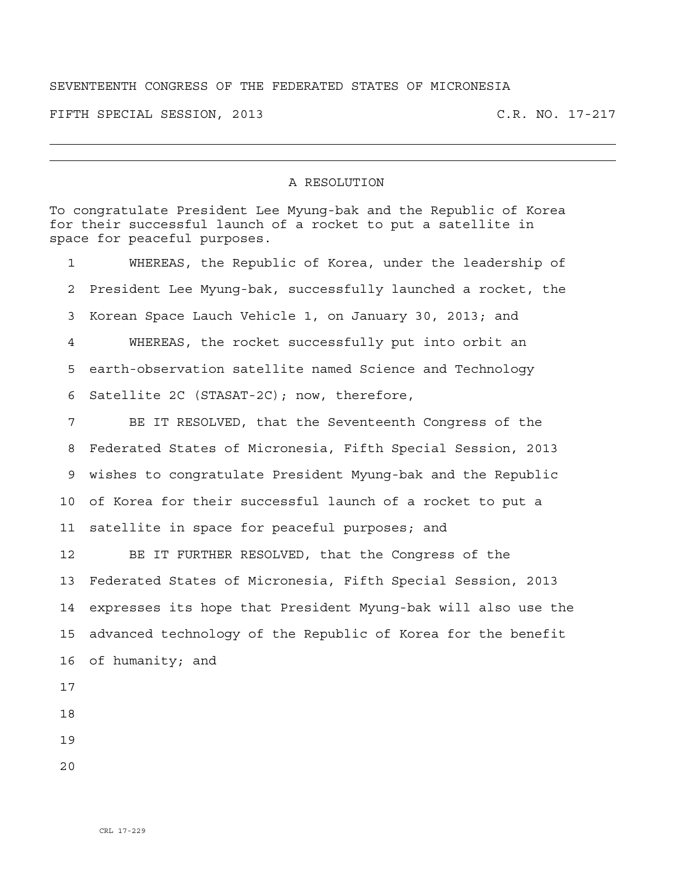## SEVENTEENTH CONGRESS OF THE FEDERATED STATES OF MICRONESIA

FIFTH SPECIAL SESSION, 2013 C.R. NO. 17-217

## A RESOLUTION

To congratulate President Lee Myung-bak and the Republic of Korea for their successful launch of a rocket to put a satellite in space for peaceful purposes. 1 WHEREAS, the Republic of Korea, under the leadership of 2 President Lee Myung-bak, successfully launched a rocket, the 3 Korean Space Lauch Vehicle 1, on January 30, 2013; and 4 WHEREAS, the rocket successfully put into orbit an 5 earth-observation satellite named Science and Technology 6 Satellite 2C (STASAT-2C); now, therefore, 7 BE IT RESOLVED, that the Seventeenth Congress of the 8 Federated States of Micronesia, Fifth Special Session, 2013 9 wishes to congratulate President Myung-bak and the Republic 10 of Korea for their successful launch of a rocket to put a 11 satellite in space for peaceful purposes; and 12 BE IT FURTHER RESOLVED, that the Congress of the 13 Federated States of Micronesia, Fifth Special Session, 2013 14 expresses its hope that President Myung-bak will also use the 15 advanced technology of the Republic of Korea for the benefit 16 of humanity; and 17

18

19

20